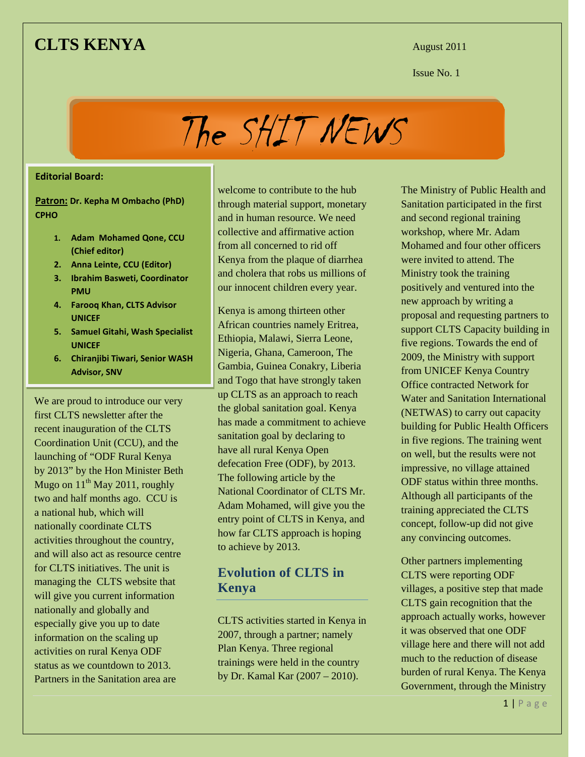### **CLTS KENYA** August 2011

**Issue No. 1 Issue No. 1** 

The SHIT NEWS

#### **Editorial Board:**

**Patron: Dr. Kepha M Ombacho (PhD) CPHO**

- **1. Adam Mohamed Qone, CCU (Chief editor)**
- **2. Anna Leinte, CCU (Editor)**
- **3. Ibrahim Basweti, Coordinator PMU**
- **4. Farooq Khan, CLTS Advisor UNICEF**
- **5. Samuel Gitahi, Wash Specialist UNICEF**
- **6. Chiranjibi Tiwari, Senior WASH Advisor, SNV**

We are proud to introduce our very first CLTS newsletter after the recent inauguration of the CLTS Coordination Unit (CCU), and the launching of "ODF Rural Kenya by 2013" by the Hon Minister Beth Mugo on  $11^{th}$  May 2011, roughly two and half months ago. CCU is a national hub, which will nationally coordinate CLTS activities throughout the country, and will also act as resource centre for CLTS initiatives. The unit is managing the CLTS website that will give you current information nationally and globally and especially give you up to date information on the scaling up activities on rural Kenya ODF status as we countdown to 2013. Partners in the Sanitation area are

welcome to contribute to the hub through material support, monetary and in human resource. We need collective and affirmative action from all concerned to rid off Kenya from the plaque of diarrhea and cholera that robs us millions of our innocent children every year.

Kenya is among thirteen other African countries namely Eritrea, Ethiopia, Malawi, Sierra Leone, Nigeria, Ghana, Cameroon, The Gambia, Guinea Conakry, Liberia and Togo that have strongly taken up CLTS as an approach to reach the global sanitation goal. Kenya has made a commitment to achieve sanitation goal by declaring to have all rural Kenya Open defecation Free (ODF), by 2013. The following article by the National Coordinator of CLTS Mr. Adam Mohamed, will give you the entry point of CLTS in Kenya, and how far CLTS approach is hoping to achieve by 2013.

### **Evolution of CLTS in Kenya**

CLTS activities started in Kenya in 2007, through a partner; namely Plan Kenya. Three regional trainings were held in the country by Dr. Kamal Kar (2007 – 2010).

The Ministry of Public Health and Sanitation participated in the first and second regional training workshop, where Mr. Adam Mohamed and four other officers were invited to attend. The Ministry took the training positively and ventured into the new approach by writing a proposal and requesting partners to support CLTS Capacity building in five regions. Towards the end of 2009, the Ministry with support from UNICEF Kenya Country Office contracted Network for Water and Sanitation International (NETWAS) to carry out capacity building for Public Health Officers in five regions. The training went on well, but the results were not impressive, no village attained ODF status within three months. Although all participants of the training appreciated the CLTS concept, follow-up did not give any convincing outcomes.

Other partners implementing CLTS were reporting ODF villages, a positive step that made CLTS gain recognition that the approach actually works, however it was observed that one ODF village here and there will not add much to the reduction of disease burden of rural Kenya. The Kenya Government, through the Ministry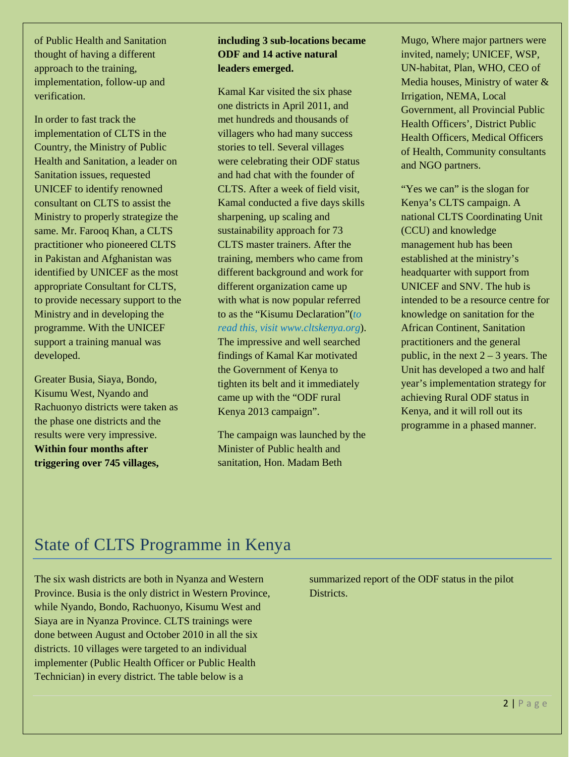of Public Health and Sanitation thought of having a different approach to the training, implementation, follow-up and verification.

In order to fast track the implementation of CLTS in the Country, the Ministry of Public Health and Sanitation, a leader on Sanitation issues, requested UNICEF to identify renowned consultant on CLTS to assist the Ministry to properly strategize the same. Mr. Farooq Khan, a CLTS practitioner who pioneered CLTS in Pakistan and Afghanistan was identified by UNICEF as the most appropriate Consultant for CLTS, to provide necessary support to the Ministry and in developing the programme. With the UNICEF support a training manual was developed.

Greater Busia, Siaya, Bondo, Kisumu West, Nyando and Rachuonyo districts were taken as the phase one districts and the results were very impressive. **Within four months after triggering over 745 villages,** 

### **including 3 sub-locations became ODF and 14 active natural leaders emerged.**

Kamal Kar visited the six phase one districts in April 2011, and met hundreds and thousands of villagers who had many success stories to tell. Several villages were celebrating their ODF status and had chat with the founder of CLTS. After a week of field visit, Kamal conducted a five days skills sharpening, up scaling and sustainability approach for 73 CLTS master trainers. After the training, members who came from different background and work for different organization came up with what is now popular referred to as the "Kisumu Declaration"(*to read this, visit www.cltskenya.org*). The impressive and well searched findings of Kamal Kar motivated the Government of Kenya to tighten its belt and it immediately came up with the "ODF rural Kenya 2013 campaign".

The campaign was launched by the Minister of Public health and sanitation, Hon. Madam Beth

Mugo, Where major partners were invited, namely; UNICEF, WSP, UN-habitat, Plan, WHO, CEO of Media houses, Ministry of water & Irrigation, NEMA, Local Government, all Provincial Public Health Officers', District Public Health Officers, Medical Officers of Health, Community consultants and NGO partners.

"Yes we can" is the slogan for Kenya's CLTS campaign. A national CLTS Coordinating Unit (CCU) and knowledge management hub has been established at the ministry's headquarter with support from UNICEF and SNV. The hub is intended to be a resource centre for knowledge on sanitation for the African Continent, Sanitation practitioners and the general public, in the next  $2 - 3$  years. The Unit has developed a two and half year's implementation strategy for achieving Rural ODF status in Kenya, and it will roll out its programme in a phased manner.

## State of CLTS Programme in Kenya

The six wash districts are both in Nyanza and Western Province. Busia is the only district in Western Province, while Nyando, Bondo, Rachuonyo, Kisumu West and Siaya are in Nyanza Province. CLTS trainings were done between August and October 2010 in all the six districts. 10 villages were targeted to an individual implementer (Public Health Officer or Public Health Technician) in every district. The table below is a

summarized report of the ODF status in the pilot Districts.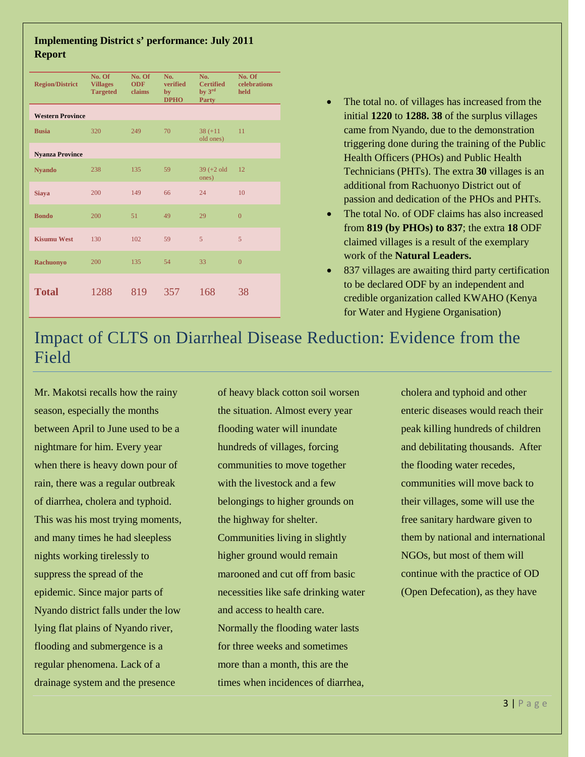### **Implementing District s' performance: July 2011 Report**

| <b>Region/District</b>  | No. Of<br><b>Villages</b><br><b>Targeted</b> | No. Of<br><b>ODF</b><br>claims | No.<br>verified<br>by<br><b>DPHO</b> | No.<br><b>Certified</b><br>by 3 <sup>rd</sup><br><b>Party</b> | No. Of<br>celebrations<br>held |
|-------------------------|----------------------------------------------|--------------------------------|--------------------------------------|---------------------------------------------------------------|--------------------------------|
| <b>Western Province</b> |                                              |                                |                                      |                                                               |                                |
| <b>Busia</b>            | 320                                          | 249                            | 70                                   | $38 (+11)$<br>old ones)                                       | 11                             |
| <b>Nyanza Province</b>  |                                              |                                |                                      |                                                               |                                |
| <b>Nyando</b>           | 238                                          | 135                            | 59                                   | $39 (+2 old)$<br>ones)                                        | 12                             |
| <b>Siaya</b>            | 200                                          | 149                            | 66                                   | 24                                                            | 10                             |
| <b>Bondo</b>            | 200                                          | 51                             | 49                                   | 29                                                            | $\theta$                       |
| <b>Kisumu West</b>      | 130                                          | 102                            | 59                                   | 5                                                             | $\overline{5}$                 |
| <b>Rachuonyo</b>        | 200                                          | 135                            | 54                                   | 33                                                            | $\overline{0}$                 |
| <b>Total</b>            | 1288                                         | 819                            | 357                                  | 168                                                           | 38                             |

- The total no. of villages has increased from the initial **1220** to **1288. 38** of the surplus villages came from Nyando, due to the demonstration triggering done during the training of the Public Health Officers (PHOs) and Public Health Technicians (PHTs). The extra **30** villages is an additional from Rachuonyo District out of passion and dedication of the PHOs and PHTs.
- The total No. of ODF claims has also increased from **819 (by PHOs) to 837**; the extra **18** ODF claimed villages is a result of the exemplary work of the **Natural Leaders.**
- 837 villages are awaiting third party certification to be declared ODF by an independent and credible organization called KWAHO (Kenya for Water and Hygiene Organisation)

### Impact of CLTS on Diarrheal Disease Reduction: Evidence from the Field

Mr. Makotsi recalls how the rainy season, especially the months between April to June used to be a nightmare for him. Every year when there is heavy down pour of rain, there was a regular outbreak of diarrhea, cholera and typhoid. This was his most trying moments, and many times he had sleepless nights working tirelessly to suppress the spread of the epidemic. Since major parts of Nyando district falls under the low lying flat plains of Nyando river, flooding and submergence is a regular phenomena. Lack of a drainage system and the presence

of heavy black cotton soil worsen the situation. Almost every year flooding water will inundate hundreds of villages, forcing communities to move together with the livestock and a few belongings to higher grounds on the highway for shelter. Communities living in slightly higher ground would remain marooned and cut off from basic necessities like safe drinking water and access to health care. Normally the flooding water lasts for three weeks and sometimes more than a month, this are the times when incidences of diarrhea,

cholera and typhoid and other enteric diseases would reach their peak killing hundreds of children and debilitating thousands. After the flooding water recedes, communities will move back to their villages, some will use the free sanitary hardware given to them by national and international NGOs, but most of them will continue with the practice of OD (Open Defecation), as they have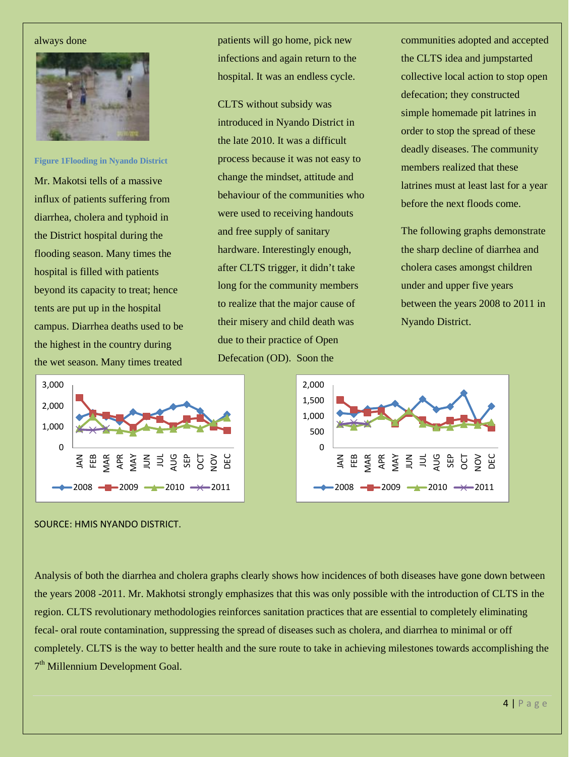#### always done



**Figure 1Flooding in Nyando District**

Mr. Makotsi tells of a massive influx of patients suffering from diarrhea, cholera and typhoid in the District hospital during the flooding season. Many times the hospital is filled with patients beyond its capacity to treat; hence tents are put up in the hospital campus. Diarrhea deaths used to be the highest in the country during the wet season. Many times treated

patients will go home, pick new infections and again return to the hospital. It was an endless cycle.

CLTS without subsidy was introduced in Nyando District in the late 2010. It was a difficult process because it was not easy to change the mindset, attitude and behaviour of the communities who were used to receiving handouts and free supply of sanitary hardware. Interestingly enough, after CLTS trigger, it didn't take long for the community members to realize that the major cause of their misery and child death was due to their practice of Open Defecation (OD). Soon the

communities adopted and accepted the CLTS idea and jumpstarted collective local action to stop open defecation; they constructed simple homemade pit latrines in order to stop the spread of these deadly diseases. The community members realized that these latrines must at least last for a year before the next floods come.

The following graphs demonstrate the sharp decline of diarrhea and cholera cases amongst children under and upper five years between the years 2008 to 2011 in Nyando District.





SOURCE: HMIS NYANDO DISTRICT.

Analysis of both the diarrhea and cholera graphs clearly shows how incidences of both diseases have gone down between the years 2008 -2011. Mr. Makhotsi strongly emphasizes that this was only possible with the introduction of CLTS in the region. CLTS revolutionary methodologies reinforces sanitation practices that are essential to completely eliminating fecal- oral route contamination, suppressing the spread of diseases such as cholera, and diarrhea to minimal or off completely. CLTS is the way to better health and the sure route to take in achieving milestones towards accomplishing the 7<sup>th</sup> Millennium Development Goal.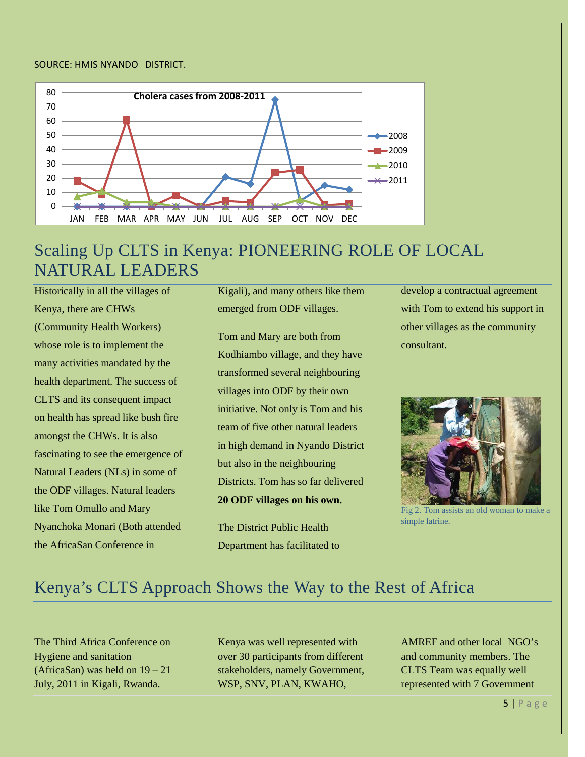#### SOURCE: HMIS NYANDO DISTRICT.



### Scaling Up CLTS in Kenya: PIONEERING ROLE OF LOCAL NATURAL LEADERS

Historically in all the villages of Kenya, there are CHWs (Community Health Workers) whose role is to implement the many activities mandated by the health department. The success of CLTS and its consequent impact on health has spread like bush fire amongst the CHWs. It is also fascinating to see the emergence of Natural Leaders (NLs) in some of the ODF villages. Natural leaders like Tom Omullo and Mary Nyanchoka Monari (Both attended the AfricaSan Conference in

Kigali), and many others like them emerged from ODF villages.

Tom and Mary are both from Kodhiambo village, and they have transformed several neighbouring villages into ODF by their own initiative. Not only is Tom and his team of five other natural leaders in high demand in Nyando District but also in the neighbouring Districts. Tom has so far delivered **20 ODF villages on his own.**

The District Public Health Department has facilitated to develop a contractual agreement with Tom to extend his support in other villages as the community consultant.



Fig 2. Tom assists an old woman to make a simple latrine.

### Kenya's CLTS Approach Shows the Way to the Rest of Africa

The Third Africa Conference on Hygiene and sanitation (AfricaSan) was held on 19 – 21 July, 2011 in Kigali, Rwanda.

Kenya was well represented with over 30 participants from different stakeholders, namely Government, WSP, SNV, PLAN, KWAHO,

AMREF and other local NGO's and community members. The CLTS Team was equally well represented with 7 Government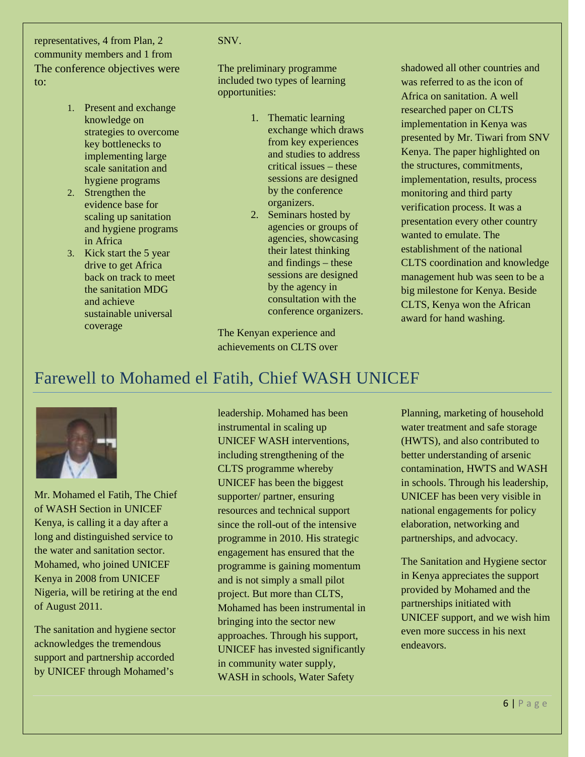representatives, 4 from Plan, 2 community members and 1 from The conference objectives were to:

- 1. Present and exchange knowledge on strategies to overcome key bottlenecks to implementing large scale sanitation and hygiene programs
- 2. Strengthen the evidence base for scaling up sanitation and hygiene programs in Africa
- 3. Kick start the 5 year drive to get Africa back on track to meet the sanitation MDG and achieve sustainable universal coverage

#### SNV.

The preliminary programme included two types of learning opportunities:

- 1. Thematic learning exchange which draws from key experiences and studies to address critical issues – these sessions are designed by the conference organizers.
- 2. Seminars hosted by agencies or groups of agencies, showcasing their latest thinking and findings – these sessions are designed by the agency in consultation with the conference organizers.

The Kenyan experience and achievements on CLTS over shadowed all other countries and was referred to as the icon of Africa on sanitation. A well researched paper on CLTS implementation in Kenya was presented by Mr. Tiwari from SNV Kenya. The paper highlighted on the structures, commitments, implementation, results, process monitoring and third party verification process. It was a presentation every other country wanted to emulate. The establishment of the national CLTS coordination and knowledge management hub was seen to be a big milestone for Kenya. Beside CLTS, Kenya won the African award for hand washing.

## Farewell to Mohamed el Fatih, Chief WASH UNICEF



Mr. Mohamed el Fatih, The Chief of WASH Section in UNICEF Kenya, is calling it a day after a long and distinguished service to the water and sanitation sector. Mohamed, who joined UNICEF Kenya in 2008 from UNICEF Nigeria, will be retiring at the end of August 2011.

The sanitation and hygiene sector acknowledges the tremendous support and partnership accorded by UNICEF through Mohamed's

leadership. Mohamed has been instrumental in scaling up UNICEF WASH interventions, including strengthening of the CLTS programme whereby UNICEF has been the biggest supporter/ partner, ensuring resources and technical support since the roll-out of the intensive programme in 2010. His strategic engagement has ensured that the programme is gaining momentum and is not simply a small pilot project. But more than CLTS, Mohamed has been instrumental in bringing into the sector new approaches. Through his support, UNICEF has invested significantly in community water supply, WASH in schools, Water Safety

Planning, marketing of household water treatment and safe storage (HWTS), and also contributed to better understanding of arsenic contamination, HWTS and WASH in schools. Through his leadership, UNICEF has been very visible in national engagements for policy elaboration, networking and partnerships, and advocacy.

The Sanitation and Hygiene sector in Kenya appreciates the support provided by Mohamed and the partnerships initiated with UNICEF support, and we wish him even more success in his next endeavors.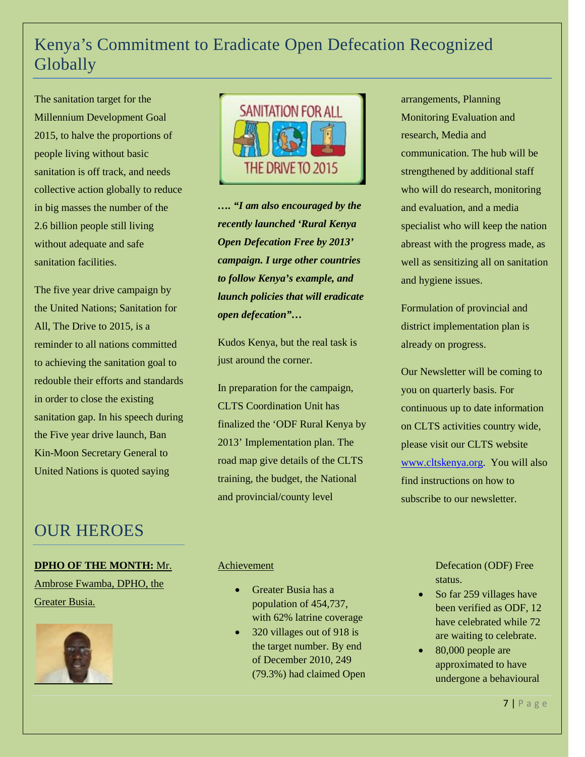# Kenya's Commitment to Eradicate Open Defecation Recognized Globally

The sanitation target for the Millennium Development Goal 2015, to halve the proportions of people living without basic sanitation is off track, and needs collective action globally to reduce in big masses the number of the 2.6 billion people still living without adequate and safe sanitation facilities.

The five year drive campaign by the United Nations; Sanitation for All, The Drive to 2015, is a reminder to all nations committed to achieving the sanitation goal to redouble their efforts and standards in order to close the existing sanitation gap. In his speech during the Five year drive launch, Ban Kin-Moon Secretary General to United Nations is quoted saying

### OUR HEROES

### **DPHO OF THE MONTH:** Mr.

Ambrose Fwamba, DPHO, the Greater Busia.





*…. "I am also encouraged by the recently launched 'Rural Kenya Open Defecation Free by 2013' campaign. I urge other countries to follow Kenya's example, and launch policies that will eradicate open defecation"…*

Kudos Kenya, but the real task is just around the corner.

In preparation for the campaign, CLTS Coordination Unit has finalized the 'ODF Rural Kenya by 2013' Implementation plan. The road map give details of the CLTS training, the budget, the National and provincial/county level

arrangements, Planning Monitoring Evaluation and research, Media and communication. The hub will be strengthened by additional staff who will do research, monitoring and evaluation, and a media specialist who will keep the nation abreast with the progress made, as well as sensitizing all on sanitation and hygiene issues.

Formulation of provincial and district implementation plan is already on progress.

Our Newsletter will be coming to you on quarterly basis. For continuous up to date information on CLTS activities country wide, please visit our CLTS website [www.cltskenya.org.](http://www.cltskenya.org/) You will also find instructions on how to subscribe to our newsletter.

### Achievement

- Greater Busia has a population of 454,737, with 62% latrine coverage
- 320 villages out of 918 is the target number. By end of December 2010, 249 (79.3%) had claimed Open

Defecation (ODF) Free status.

- So far 259 villages have been verified as ODF, 12 have celebrated while 72 are waiting to celebrate.
- 80,000 people are approximated to have undergone a behavioural